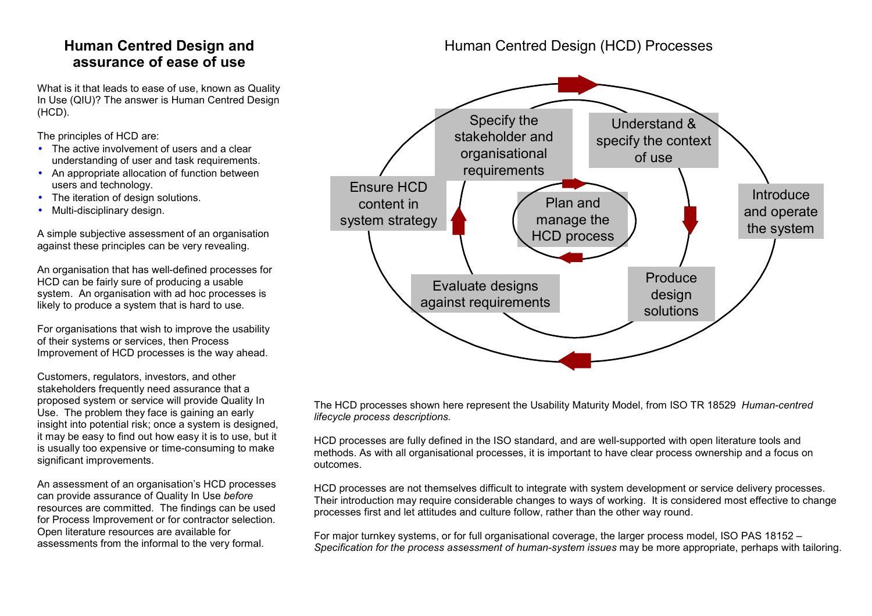## **Human Centred Design and** assurance of ease of use

What is it that leads to ease of use, known as Quality In Use (QIU)? The answer is Human Centred Design  $(HCD)$ .

The principles of HCD are:

- The active involvement of users and a clear understanding of user and task requirements.
- An appropriate allocation of function between users and technology.
- The iteration of design solutions.
- Multi-disciplinary design.  $\bullet$

A simple subjective assessment of an organisation against these principles can be very revealing.

An organisation that has well-defined processes for HCD can be fairly sure of producing a usable system. An organisation with ad hoc processes is likely to produce a system that is hard to use.

For organisations that wish to improve the usability of their systems or services, then Process Improvement of HCD processes is the way ahead.

Customers, regulators, investors, and other stakeholders frequently need assurance that a proposed system or service will provide Quality In Use. The problem they face is gaining an early insight into potential risk; once a system is designed, it may be easy to find out how easy it is to use, but it is usually too expensive or time-consuming to make significant improvements.

An assessment of an organisation's HCD processes can provide assurance of Quality In Use before resources are committed. The findings can be used for Process Improvement or for contractor selection. Open literature resources are available for assessments from the informal to the very formal.





The HCD processes shown here represent the Usability Maturity Model, from ISO TR 18529 Human-centred lifecycle process descriptions.

HCD processes are fully defined in the ISO standard, and are well-supported with open literature tools and methods. As with all organisational processes, it is important to have clear process ownership and a focus on outcomes.

HCD processes are not themselves difficult to integrate with system development or service delivery processes. Their introduction may require considerable changes to ways of working. It is considered most effective to change processes first and let attitudes and culture follow, rather than the other way round.

For major turnkey systems, or for full organisational coverage, the larger process model, ISO PAS 18152 -Specification for the process assessment of human-system issues may be more appropriate, perhaps with tailoring.